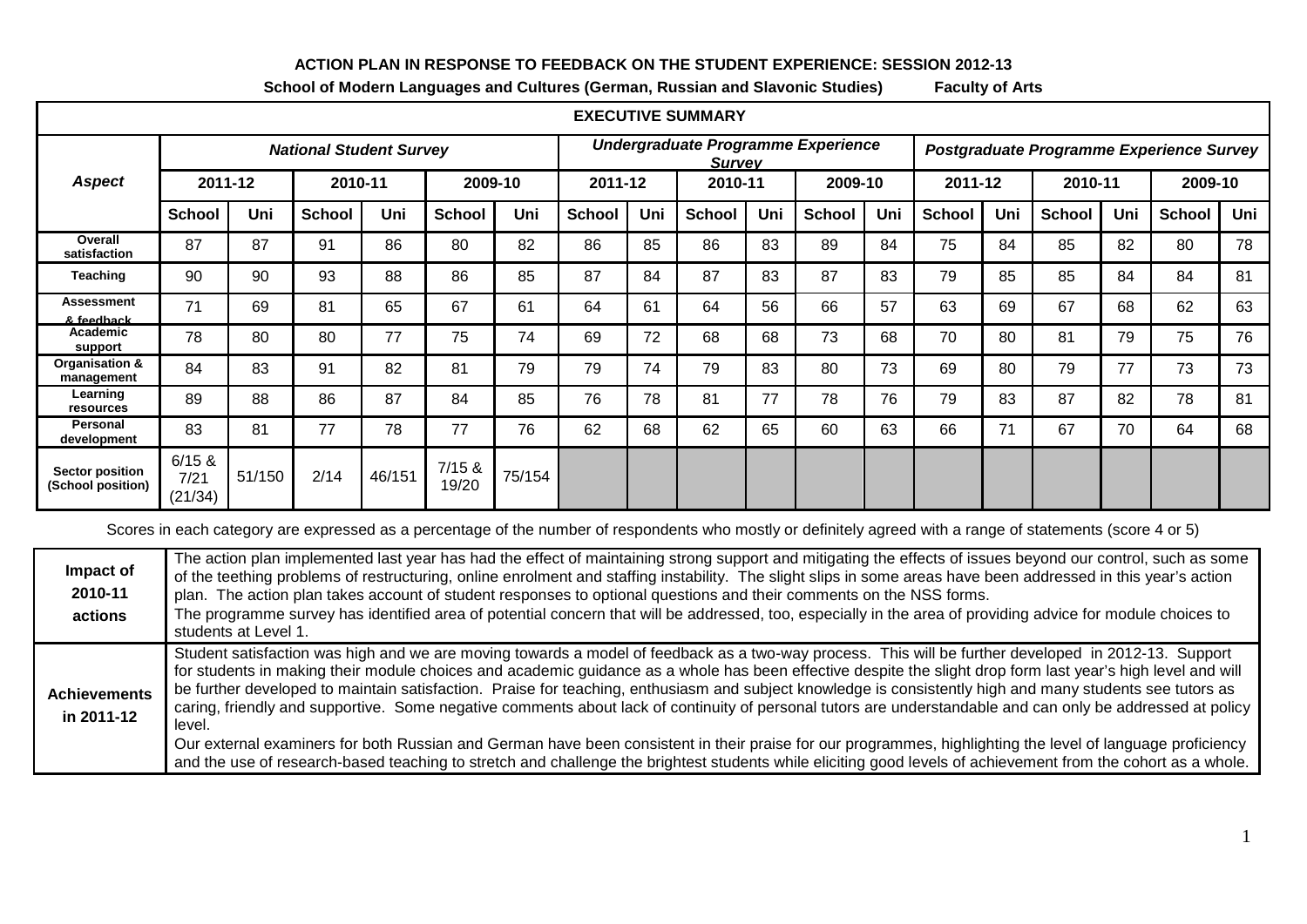## **ACTION PLAN IN RESPONSE TO FEEDBACK ON THE STUDENT EXPERIENCE: SESSION 2012-13**

| <b>EXECUTIVE SUMMARY</b>                    |                                |        |               |        |                 |        |                                                     |     |               |     |               |     |                                          |     |               |     |               |     |
|---------------------------------------------|--------------------------------|--------|---------------|--------|-----------------|--------|-----------------------------------------------------|-----|---------------|-----|---------------|-----|------------------------------------------|-----|---------------|-----|---------------|-----|
|                                             | <b>National Student Survey</b> |        |               |        |                 |        | Undergraduate Programme Experience<br><b>Survey</b> |     |               |     |               |     | Postgraduate Programme Experience Survey |     |               |     |               |     |
| <b>Aspect</b>                               | 2011-12                        |        | 2010-11       |        | 2009-10         |        | 2011-12                                             |     | 2010-11       |     | 2009-10       |     | 2011-12                                  |     | 2010-11       |     | 2009-10       |     |
|                                             | <b>School</b>                  | Uni    | <b>School</b> | Uni    | <b>School</b>   | Uni    | <b>School</b>                                       | Uni | <b>School</b> | Uni | <b>School</b> | Uni | <b>School</b>                            | Uni | <b>School</b> | Uni | <b>School</b> | Uni |
| Overall<br>satisfaction                     | 87                             | 87     | 91            | 86     | 80              | 82     | 86                                                  | 85  | 86            | 83  | 89            | 84  | 75                                       | 84  | 85            | 82  | 80            | 78  |
| <b>Teaching</b>                             | 90                             | 90     | 93            | 88     | 86              | 85     | 87                                                  | 84  | 87            | 83  | 87            | 83  | 79                                       | 85  | 85            | 84  | 84            | 81  |
| <b>Assessment</b><br>& feedhack             | 71                             | 69     | 81            | 65     | 67              | 61     | 64                                                  | 61  | 64            | 56  | 66            | 57  | 63                                       | 69  | 67            | 68  | 62            | 63  |
| Academic<br>support                         | 78                             | 80     | 80            | 77     | 75              | 74     | 69                                                  | 72  | 68            | 68  | 73            | 68  | 70                                       | 80  | 81            | 79  | 75            | 76  |
| Organisation &<br>management                | 84                             | 83     | 91            | 82     | 81              | 79     | 79                                                  | 74  | 79            | 83  | 80            | 73  | 69                                       | 80  | 79            | 77  | 73            | 73  |
| Learning<br>resources                       | 89                             | 88     | 86            | 87     | 84              | 85     | 76                                                  | 78  | 81            | 77  | 78            | 76  | 79                                       | 83  | 87            | 82  | 78            | 81  |
| Personal<br>development                     | 83                             | 81     | 77            | 78     | 77              | 76     | 62                                                  | 68  | 62            | 65  | 60            | 63  | 66                                       | 71  | 67            | 70  | 64            | 68  |
| <b>Sector position</b><br>(School position) | 6/15 &<br>7/21<br>(21/34)      | 51/150 | 2/14          | 46/151 | 7/15 &<br>19/20 | 75/154 |                                                     |     |               |     |               |     |                                          |     |               |     |               |     |

**School of Modern Languages and Cultures (German, Russian and Slavonic Studies) Faculty of Arts**

Scores in each category are expressed as a percentage of the number of respondents who mostly or definitely agreed with a range of statements (score 4 or 5)

| Impact of<br>2010-11<br>actions   | The action plan implemented last year has had the effect of maintaining strong support and mitigating the effects of issues beyond our control, such as some<br>of the teething problems of restructuring, online enrolment and staffing instability. The slight slips in some areas have been addressed in this year's action<br>plan. The action plan takes account of student responses to optional questions and their comments on the NSS forms.<br>The programme survey has identified area of potential concern that will be addressed, too, especially in the area of providing advice for module choices to<br>students at Level 1.                                                                                                                                                                                                                                                                                                                                             |
|-----------------------------------|------------------------------------------------------------------------------------------------------------------------------------------------------------------------------------------------------------------------------------------------------------------------------------------------------------------------------------------------------------------------------------------------------------------------------------------------------------------------------------------------------------------------------------------------------------------------------------------------------------------------------------------------------------------------------------------------------------------------------------------------------------------------------------------------------------------------------------------------------------------------------------------------------------------------------------------------------------------------------------------|
| <b>Achievements</b><br>in 2011-12 | Student satisfaction was high and we are moving towards a model of feedback as a two-way process. This will be further developed in 2012-13. Support<br>for students in making their module choices and academic guidance as a whole has been effective despite the slight drop form last year's high level and will<br>be further developed to maintain satisfaction. Praise for teaching, enthusiasm and subject knowledge is consistently high and many students see tutors as<br>caring, friendly and supportive. Some negative comments about lack of continuity of personal tutors are understandable and can only be addressed at policy<br>level.<br>Our external examiners for both Russian and German have been consistent in their praise for our programmes, highlighting the level of language proficiency<br>and the use of research-based teaching to stretch and challenge the brightest students while eliciting good levels of achievement from the cohort as a whole. |